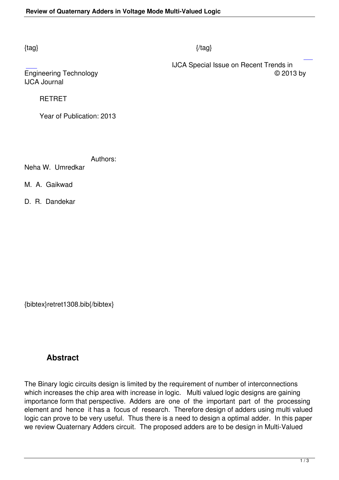## $\{tag\}$

 IJCA Special Issue on Recent Trends in Engineering Technology © 2013 by

IJCA Journal

RETRET

Year of Publication: 2013

Authors:

Neha W. Umredkar

M. A. Gaikwad

D. R. Dandekar

{bibtex}retret1308.bib{/bibtex}

## **Abstract**

The Binary logic circuits design is limited by the requirement of number of interconnections which increases the chip area with increase in logic. Multi valued logic designs are gaining importance form that perspective. Adders are one of the important part of the processing element and hence it has a focus of research. Therefore design of adders using multi valued logic can prove to be very useful. Thus there is a need to design a optimal adder. In this paper we review Quaternary Adders circuit. The proposed adders are to be design in Multi-Valued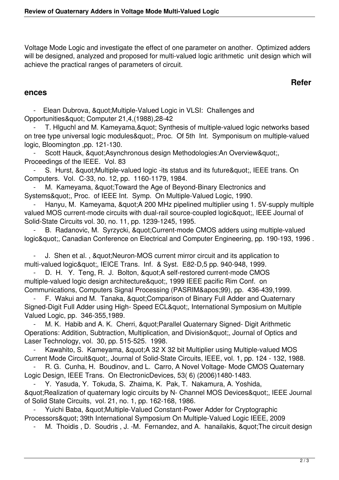Voltage Mode Logic and investigate the effect of one parameter on another. Optimized adders will be designed, analyzed and proposed for multi-valued logic arithmetic unit design which will achieve the practical ranges of parameters of circuit.

## **Refer**

## **ences**

Elean Dubrova, " Multiple-Valued Logic in VLSI: Challenges and Opportunities" Computer 21,4,(1988),28-42

T. Higuchl and M. Kameyama, & quot; Synthesis of multiple-valued logic networks based on tree type universal logic modules & quot;, Proc. Of 5th Int. Symponisum on multiple-valued logic, Bloomington ,pp. 121-130.

Scott Hauck, " Asynchronous design Methodologies: An Overview & quot; Proceedings of the IEEE. Vol. 83

S. Hurst, & quot; Multiple-valued logic -its status and its future & quot;, IEEE trans. On Computers. Vol. C-33, no. 12, pp. 1160-1179, 1984.

M. Kameyama, " Toward the Age of Beyond-Binary Electronics and Systems", Proc. of IEEE Int. Symp. On Multiple-Valued Logic, 1990.

Hanyu, M. Kameyama, & quot; A 200 MHz pipelined multiplier using 1.5V-supply multiple valued MOS current-mode circuits with dual-rail source-coupled logic", IEEE Journal of Solid-State Circuits vol. 30, no. 11, pp. 1239-1245, 1995.

B. Radanovic, M. Syrzycki, " Current-mode CMOS adders using multiple-valued logic", Canadian Conference on Electrical and Computer Engineering, pp. 190-193, 1996.

J. Shen et al., " Neuron-MOS current mirror circuit and its application to multi-valued logic", IEICE Trans. Inf. & Syst. E82-D,5 pp. 940-948, 1999.

D. H. Y. Teng, R. J. Bolton, & quot; A self-restored current-mode CMOS multiple-valued logic design architecture", 1999 IEEE pacific Rim Conf. on Communications, Computers Signal Processing (PASRIM&apos: 99), pp. 436-439,1999.

F. Wakui and M. Tanaka, & quot; Comparison of Binary Full Adder and Quaternary Signed-Digit Full Adder using High- Speed ECL", International Symposium on Multiple Valued Logic, pp. 346-355,1989.

M. K. Habib and A. K. Cherri, & quot: Parallel Quaternary Signed- Digit Arithmetic Operations: Addition, Subtraction, Multiplication, and Division", Journal of Optics and Laser Technology, vol. 30, pp. 515-525. 1998.

Kawahito, S. Kameyama, " A 32 X 32 bit Multiplier using Multiple-valued MOS Current Mode Circuit&quot:, Journal of Solid-State Circuits, IEEE, vol. 1, pp. 124 - 132, 1988.

R. G. Cunha, H. Boudinov, and L. Carro, A Novel Voltage- Mode CMOS Quaternary Logic Design, IEEE Trans. On ElectronicDevices, 53( 6) (2006)1480-1483.

 - Y. Yasuda, Y. Tokuda, S. Zhaima, K. Pak, T. Nakamura, A. Yoshida, " Realization of quaternary logic circuits by N- Channel MOS Devices & quot;, IEEE Journal of Solid State Circuits, vol. 21, no. 1, pp. 162-168, 1986.

Yuichi Baba, & quot: Multiple-Valued Constant-Power Adder for Cryptographic Processors" 39th International Symposium On Multiple-Valued Logic IEEE, 2009

M. Thoidis, D. Soudris, J. -M. Fernandez, and A. hanailakis, " The circuit design